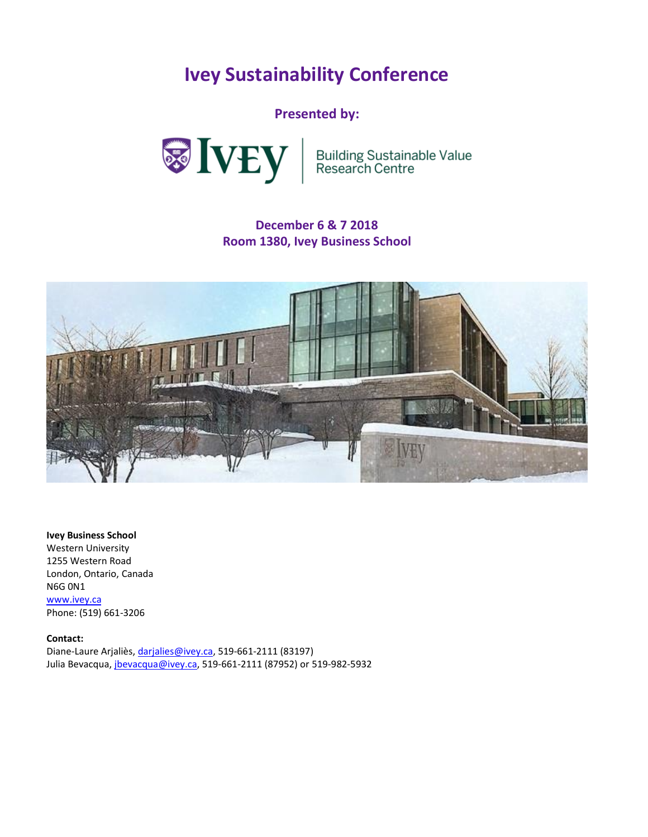# **Ivey Sustainability Conference**

**Presented by:**



Building Sustainable Value<br>Research Centre

## **December 6 & 7 2018 Room 1380, Ivey Business School**



**Ivey Business School** Western University 1255 Western Road London, Ontario, Canada N6G 0N1 [www.ivey.ca](https://www.ivey.uwo.ca/) Phone: (519) 661-3206

**Contact:**

Diane-Laure Arjaliès, [darjalies@ivey.ca,](mailto:darjalies@ivey.ca) 519-661-2111 (83197) Julia Bevacqua, *jbevacqua@ivey.ca*, 519-661-2111 (87952) or 519-982-5932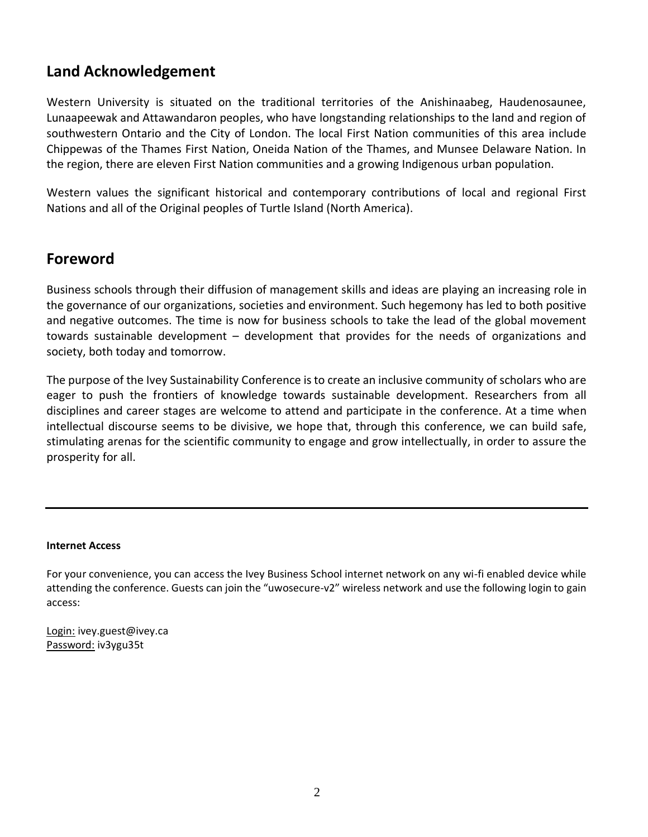# **Land Acknowledgement**

Western University is situated on the traditional territories of the Anishinaabeg, Haudenosaunee, Lunaapeewak and Attawandaron peoples, who have longstanding relationships to the land and region of southwestern Ontario and the City of London. The local First Nation communities of this area include Chippewas of the Thames First Nation, Oneida Nation of the Thames, and Munsee Delaware Nation. In the region, there are eleven First Nation communities and a growing Indigenous urban population.

Western values the significant historical and contemporary contributions of local and regional First Nations and all of the Original peoples of Turtle Island (North America).

## **Foreword**

Business schools through their diffusion of management skills and ideas are playing an increasing role in the governance of our organizations, societies and environment. Such hegemony has led to both positive and negative outcomes. The time is now for business schools to take the lead of the global movement towards sustainable development – development that provides for the needs of organizations and society, both today and tomorrow.

The purpose of the Ivey Sustainability Conference is to create an inclusive community of scholars who are eager to push the frontiers of knowledge towards sustainable development. Researchers from all disciplines and career stages are welcome to attend and participate in the conference. At a time when intellectual discourse seems to be divisive, we hope that, through this conference, we can build safe, stimulating arenas for the scientific community to engage and grow intellectually, in order to assure the prosperity for all.

### **Internet Access**

For your convenience, you can access the Ivey Business School internet network on any wi-fi enabled device while attending the conference. Guests can join the "uwosecure-v2" wireless network and use the following login to gain access:

Login: ivey.guest@ivey.ca Password: iv3ygu35t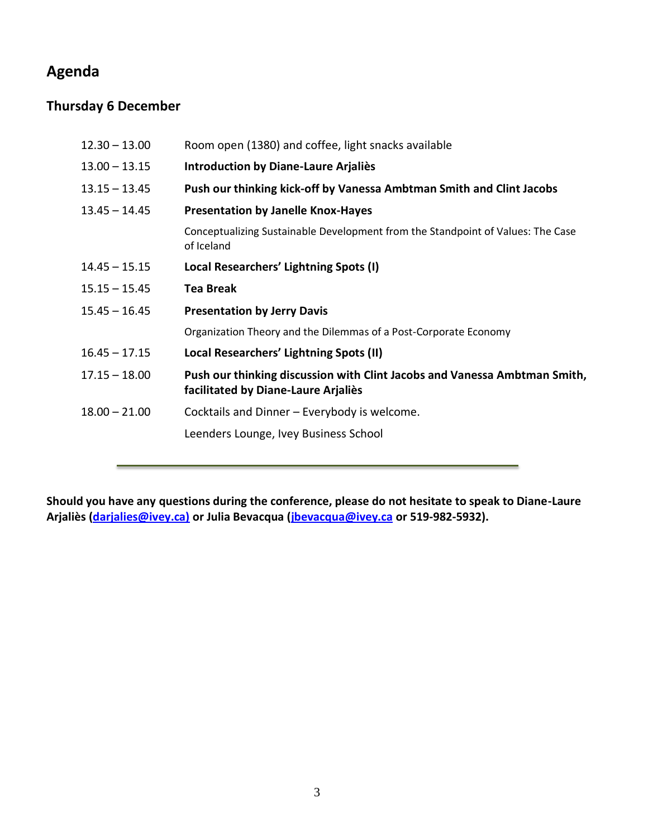# **Agenda**

# **Thursday 6 December**

| $12.30 - 13.00$ | Room open (1380) and coffee, light snacks available                                                              |
|-----------------|------------------------------------------------------------------------------------------------------------------|
| $13.00 - 13.15$ | <b>Introduction by Diane-Laure Arjaliès</b>                                                                      |
| $13.15 - 13.45$ | Push our thinking kick-off by Vanessa Ambtman Smith and Clint Jacobs                                             |
| $13.45 - 14.45$ | <b>Presentation by Janelle Knox-Hayes</b>                                                                        |
|                 | Conceptualizing Sustainable Development from the Standpoint of Values: The Case<br>of Iceland                    |
| $14.45 - 15.15$ | Local Researchers' Lightning Spots (I)                                                                           |
| $15.15 - 15.45$ | <b>Tea Break</b>                                                                                                 |
| $15.45 - 16.45$ | <b>Presentation by Jerry Davis</b>                                                                               |
|                 | Organization Theory and the Dilemmas of a Post-Corporate Economy                                                 |
| $16.45 - 17.15$ | Local Researchers' Lightning Spots (II)                                                                          |
| $17.15 - 18.00$ | Push our thinking discussion with Clint Jacobs and Vanessa Ambtman Smith,<br>facilitated by Diane-Laure Arjaliès |
| $18.00 - 21.00$ | Cocktails and Dinner - Everybody is welcome.                                                                     |
|                 | Leenders Lounge, Ivey Business School                                                                            |

**Should you have any questions during the conference, please do not hesitate to speak to Diane-Laure Arjaliès [\(darjalies@ivey.ca\)](mailto:darjalies@ivey.ca)) or Julia Bevacqua [\(jbevacqua@ivey.ca](mailto:jbevacqua@ivey.ca) or 519-982-5932).**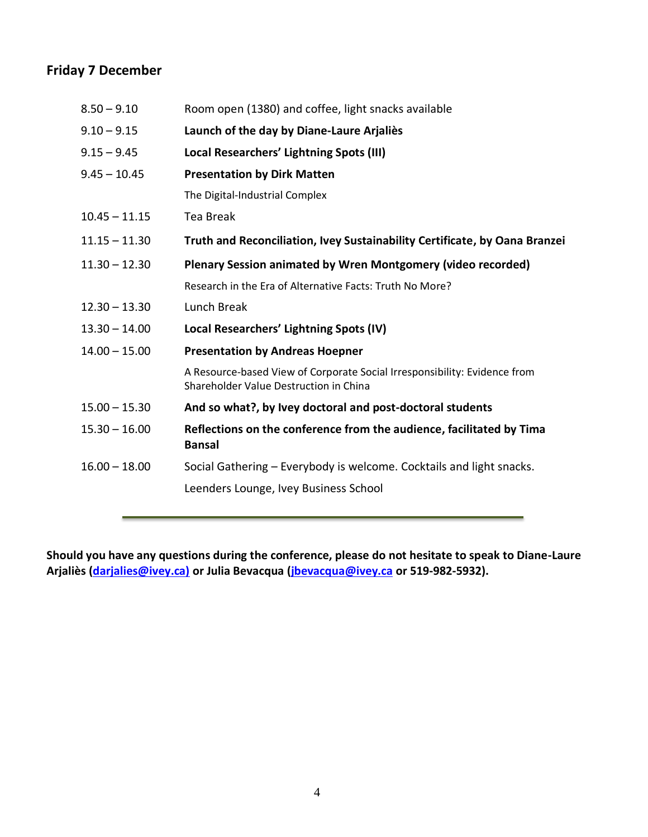## **Friday 7 December**

| $8.50 - 9.10$   | Room open (1380) and coffee, light snacks available                                                                 |
|-----------------|---------------------------------------------------------------------------------------------------------------------|
| $9.10 - 9.15$   | Launch of the day by Diane-Laure Arjaliès                                                                           |
| $9.15 - 9.45$   | Local Researchers' Lightning Spots (III)                                                                            |
| $9.45 - 10.45$  | <b>Presentation by Dirk Matten</b>                                                                                  |
|                 | The Digital-Industrial Complex                                                                                      |
| $10.45 - 11.15$ | <b>Tea Break</b>                                                                                                    |
| $11.15 - 11.30$ | Truth and Reconciliation, Ivey Sustainability Certificate, by Oana Branzei                                          |
| $11.30 - 12.30$ | Plenary Session animated by Wren Montgomery (video recorded)                                                        |
|                 | Research in the Era of Alternative Facts: Truth No More?                                                            |
| $12.30 - 13.30$ | Lunch Break                                                                                                         |
| $13.30 - 14.00$ | Local Researchers' Lightning Spots (IV)                                                                             |
| $14.00 - 15.00$ | <b>Presentation by Andreas Hoepner</b>                                                                              |
|                 | A Resource-based View of Corporate Social Irresponsibility: Evidence from<br>Shareholder Value Destruction in China |
| $15.00 - 15.30$ | And so what?, by Ivey doctoral and post-doctoral students                                                           |
| $15.30 - 16.00$ | Reflections on the conference from the audience, facilitated by Tima<br><b>Bansal</b>                               |
| $16.00 - 18.00$ | Social Gathering - Everybody is welcome. Cocktails and light snacks.                                                |
|                 | Leenders Lounge, Ivey Business School                                                                               |

**Should you have any questions during the conference, please do not hesitate to speak to Diane-Laure Arjaliès [\(darjalies@ivey.ca\)](mailto:darjalies@ivey.ca)) or Julia Bevacqua [\(jbevacqua@ivey.ca](mailto:jbevacqua@ivey.ca) or 519-982-5932).**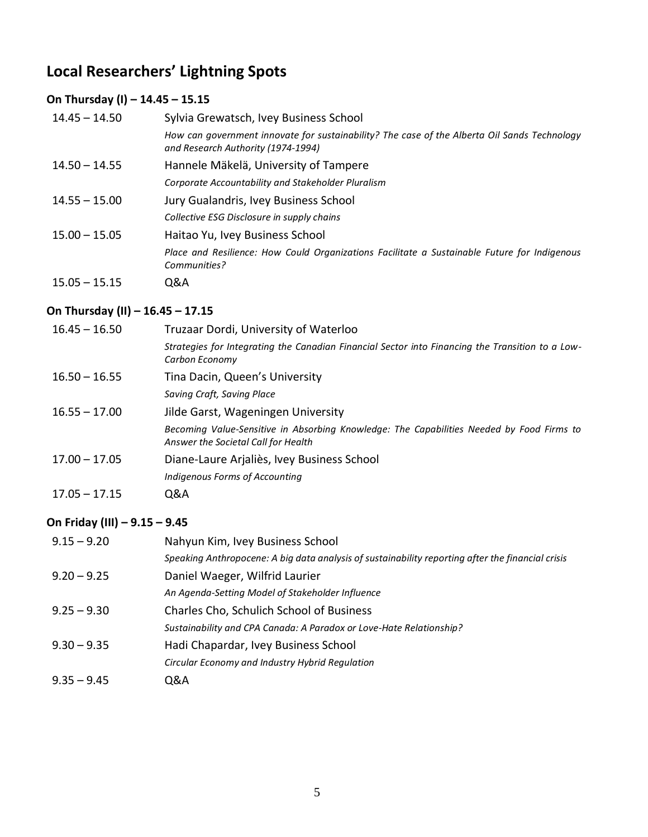# **Local Researchers' Lightning Spots**

## **On Thursday (I) – 14.45 – 15.15**

| $14.45 - 14.50$ | Sylvia Grewatsch, Ivey Business School                                                                                             |
|-----------------|------------------------------------------------------------------------------------------------------------------------------------|
|                 | How can government innovate for sustainability? The case of the Alberta Oil Sands Technology<br>and Research Authority (1974-1994) |
| $14.50 - 14.55$ | Hannele Mäkelä, University of Tampere                                                                                              |
|                 | Corporate Accountability and Stakeholder Pluralism                                                                                 |
| $14.55 - 15.00$ | Jury Gualandris, Ivey Business School                                                                                              |
|                 | Collective ESG Disclosure in supply chains                                                                                         |
| $15.00 - 15.05$ | Haitao Yu, Ivey Business School                                                                                                    |
|                 | Place and Resilience: How Could Organizations Facilitate a Sustainable Future for Indigenous<br>Communities?                       |
| $15.05 - 15.15$ | 0&A                                                                                                                                |

## **On Thursday (II) – 16.45 – 17.15**

| $16.45 - 16.50$ | Truzaar Dordi, University of Waterloo                                                                                            |
|-----------------|----------------------------------------------------------------------------------------------------------------------------------|
|                 | Strategies for Integrating the Canadian Financial Sector into Financing the Transition to a Low-<br>Carbon Economy               |
| $16.50 - 16.55$ | Tina Dacin, Queen's University                                                                                                   |
|                 | Saving Craft, Saving Place                                                                                                       |
| $16.55 - 17.00$ | Jilde Garst, Wageningen University                                                                                               |
|                 | Becoming Value-Sensitive in Absorbing Knowledge: The Capabilities Needed by Food Firms to<br>Answer the Societal Call for Health |
| $17.00 - 17.05$ | Diane-Laure Arjaliès, Ivey Business School                                                                                       |
|                 | Indigenous Forms of Accounting                                                                                                   |
| $17.05 - 17.15$ | Q&A                                                                                                                              |

## **On Friday (III) – 9.15 – 9.45**

| $9.15 - 9.20$ | Nahyun Kim, Ivey Business School                                                                  |
|---------------|---------------------------------------------------------------------------------------------------|
|               | Speaking Anthropocene: A big data analysis of sustainability reporting after the financial crisis |
| $9.20 - 9.25$ | Daniel Waeger, Wilfrid Laurier                                                                    |
|               | An Agenda-Setting Model of Stakeholder Influence                                                  |
| $9.25 - 9.30$ | <b>Charles Cho, Schulich School of Business</b>                                                   |
|               | Sustainability and CPA Canada: A Paradox or Love-Hate Relationship?                               |
| $9.30 - 9.35$ | Hadi Chapardar, Ivey Business School                                                              |
|               | Circular Economy and Industry Hybrid Regulation                                                   |
| $9.35 - 9.45$ | Q&A                                                                                               |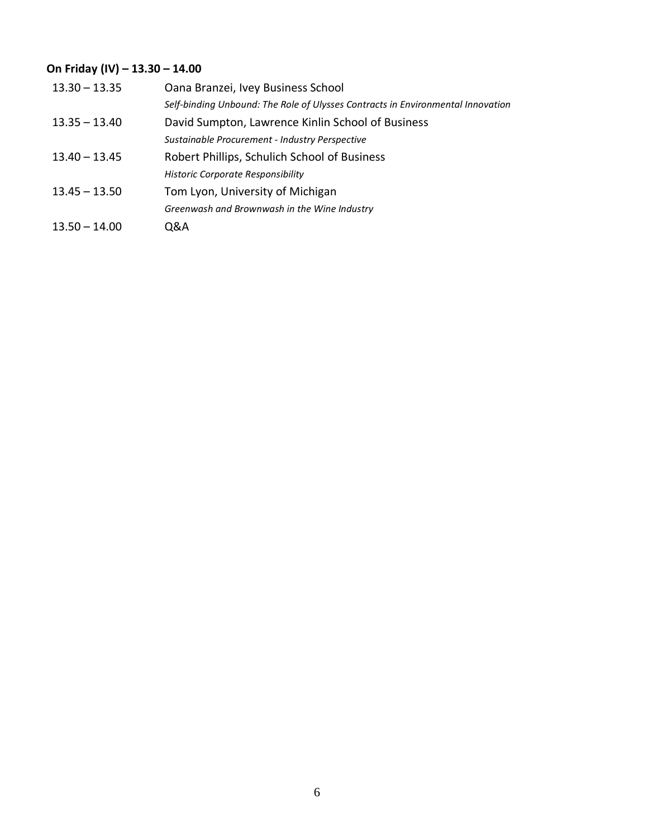### **On Friday (IV) – 13.30 – 14.00**

| $13.30 - 13.35$ | Oana Branzei, Ivey Business School                                              |
|-----------------|---------------------------------------------------------------------------------|
|                 | Self-binding Unbound: The Role of Ulysses Contracts in Environmental Innovation |
| $13.35 - 13.40$ | David Sumpton, Lawrence Kinlin School of Business                               |
|                 | Sustainable Procurement - Industry Perspective                                  |
| $13.40 - 13.45$ | Robert Phillips, Schulich School of Business                                    |
|                 | <b>Historic Corporate Responsibility</b>                                        |
| $13.45 - 13.50$ | Tom Lyon, University of Michigan                                                |
|                 | Greenwash and Brownwash in the Wine Industry                                    |
| $13.50 - 14.00$ | 0&A                                                                             |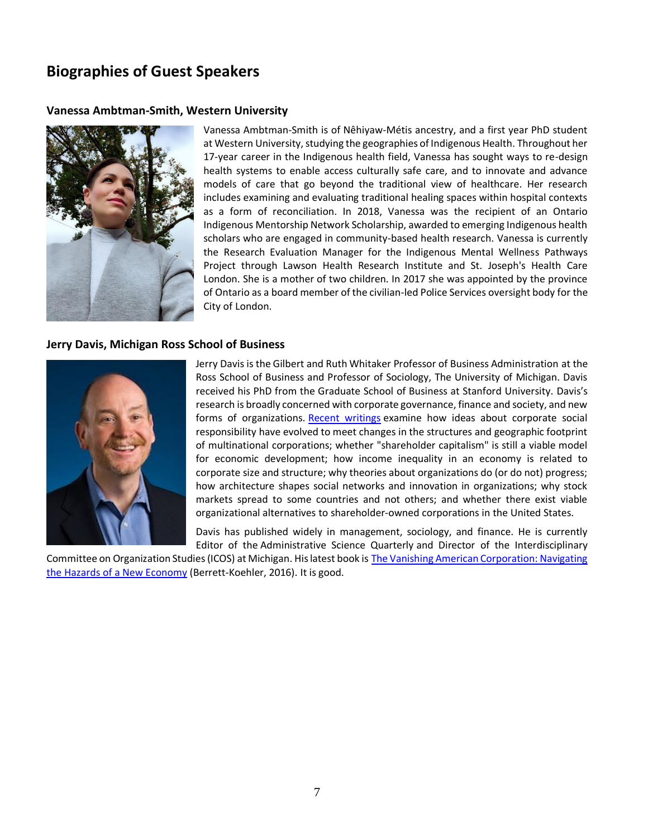# **Biographies of Guest Speakers**

#### **Vanessa Ambtman-Smith, Western University**



Vanessa Ambtman-Smith is of Nêhiyaw-Métis ancestry, and a first year PhD student at Western University, studying the geographies of Indigenous Health. Throughout her 17-year career in the Indigenous health field, Vanessa has sought ways to re-design health systems to enable access culturally safe care, and to innovate and advance models of care that go beyond the traditional view of healthcare. Her research includes examining and evaluating traditional healing spaces within hospital contexts as a form of reconciliation. In 2018, Vanessa was the recipient of an Ontario Indigenous Mentorship Network Scholarship, awarded to emerging Indigenous health scholars who are engaged in community-based health research. Vanessa is currently the Research Evaluation Manager for the Indigenous Mental Wellness Pathways Project through Lawson Health Research Institute and St. Joseph's Health Care London. She is a mother of two children. In 2017 she was appointed by the province of Ontario as a board member of the civilian-led Police Services oversight body for the City of London.

#### **Jerry Davis, Michigan Ross School of Business**



Jerry Davis is the Gilbert and Ruth Whitaker Professor of Business Administration at the Ross School of Business and Professor of Sociology, The University of Michigan. Davis received his PhD from the Graduate School of Business at Stanford University. Davis's research is broadly concerned with corporate governance, finance and society, and new forms of organizations. [Recent writings](http://webuser.bus.umich.edu/gfdavis/articles.htm) examine how ideas about corporate social responsibility have evolved to meet changes in the structures and geographic footprint of multinational corporations; whether "shareholder capitalism" is still a viable model for economic development; how income inequality in an economy is related to corporate size and structure; why theories about organizations do (or do not) progress; how architecture shapes social networks and innovation in organizations; why stock markets spread to some countries and not others; and whether there exist viable organizational alternatives to shareholder-owned corporations in the United States.

Davis has published widely in management, sociology, and finance. He is currently Editor of the Administrative Science Quarterly and Director of the Interdisciplinary

Committee on Organization Studies (ICOS) at Michigan. His latest book is [The Vanishing American Corporation: Navigating](http://www.amazon.com/Changing-Your-Company-Inside-Intrapreneurs/dp/1422185095/)  [the Hazards of a New Economy](http://www.amazon.com/Changing-Your-Company-Inside-Intrapreneurs/dp/1422185095/) (Berrett-Koehler, 2016). It is good.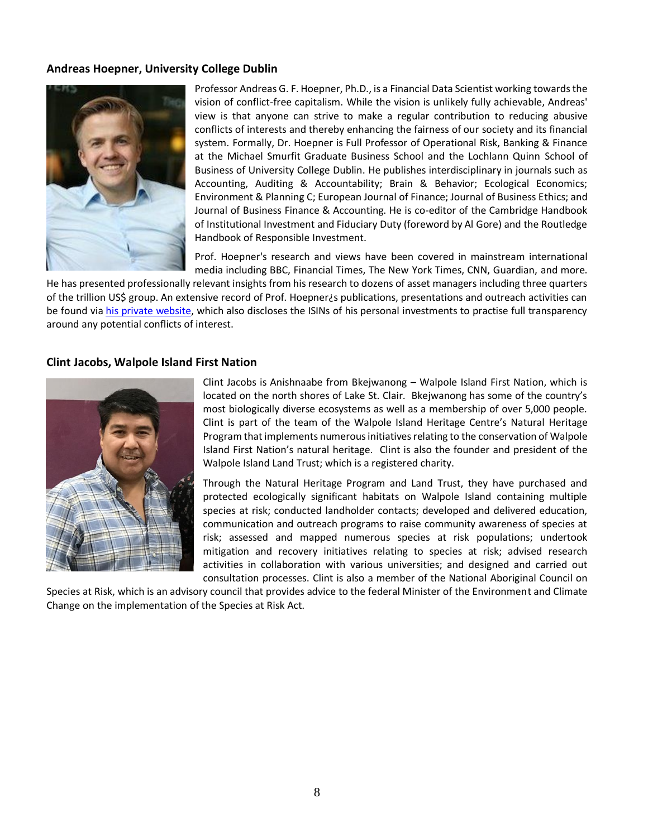#### **Andreas Hoepner, University College Dublin**



Professor Andreas G. F. Hoepner, Ph.D., is a Financial Data Scientist working towards the vision of conflict-free capitalism. While the vision is unlikely fully achievable, Andreas' view is that anyone can strive to make a regular contribution to reducing abusive conflicts of interests and thereby enhancing the fairness of our society and its financial system. Formally, Dr. Hoepner is Full Professor of Operational Risk, Banking & Finance at the Michael Smurfit Graduate Business School and the Lochlann Quinn School of Business of University College Dublin. He publishes interdisciplinary in journals such as Accounting, Auditing & Accountability; Brain & Behavior; Ecological Economics; Environment & Planning C; European Journal of Finance; Journal of Business Ethics; and Journal of Business Finance & Accounting. He is co-editor of the Cambridge Handbook of Institutional Investment and Fiduciary Duty (foreword by Al Gore) and the Routledge Handbook of Responsible Investment.

Prof. Hoepner's research and views have been covered in mainstream international media including BBC, Financial Times, The New York Times, CNN, Guardian, and more.

He has presented professionally relevant insights from his research to dozens of asset managers including three quarters of the trillion US\$ group. An extensive record of Prof. Hoepner¿s publications, presentations and outreach activities can be found via [his private website,](https://sites.google.com/sociovestix.com/andreasgfhoepner/home) which also discloses the ISINs of his personal investments to practise full transparency around any potential conflicts of interest.

#### **Clint Jacobs, Walpole Island First Nation**



Clint Jacobs is Anishnaabe from Bkejwanong – Walpole Island First Nation, which is located on the north shores of Lake St. Clair. Bkejwanong has some of the country's most biologically diverse ecosystems as well as a membership of over 5,000 people. Clint is part of the team of the Walpole Island Heritage Centre's Natural Heritage Program that implements numerous initiatives relating to the conservation of Walpole Island First Nation's natural heritage. Clint is also the founder and president of the Walpole Island Land Trust; which is a registered charity.

Through the Natural Heritage Program and Land Trust, they have purchased and protected ecologically significant habitats on Walpole Island containing multiple species at risk; conducted landholder contacts; developed and delivered education, communication and outreach programs to raise community awareness of species at risk; assessed and mapped numerous species at risk populations; undertook mitigation and recovery initiatives relating to species at risk; advised research activities in collaboration with various universities; and designed and carried out consultation processes. Clint is also a member of the National Aboriginal Council on

Species at Risk, which is an advisory council that provides advice to the federal Minister of the Environment and Climate Change on the implementation of the Species at Risk Act.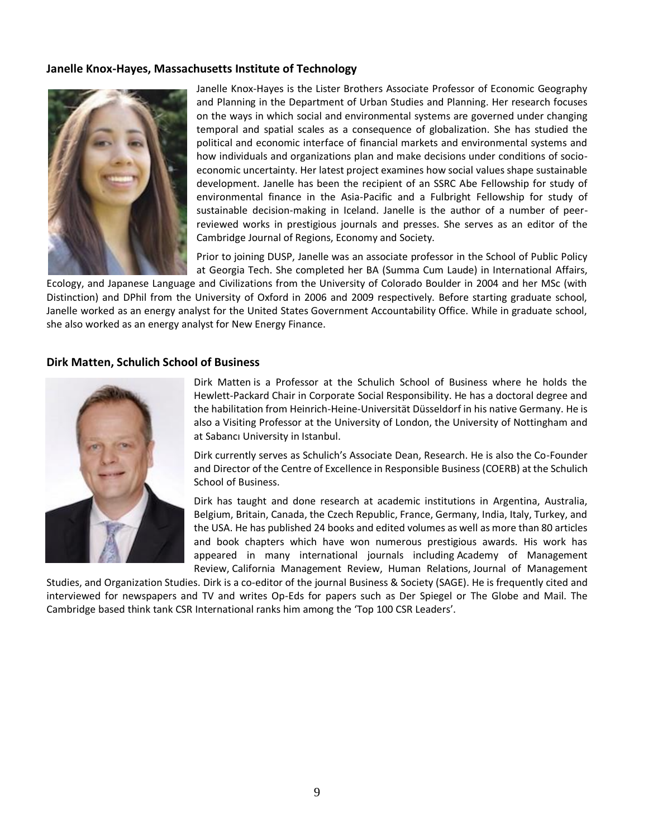#### **Janelle Knox-Hayes, Massachusetts Institute of Technology**



Janelle Knox-Hayes is the Lister Brothers Associate Professor of Economic Geography and Planning in the Department of Urban Studies and Planning. Her research focuses on the ways in which social and environmental systems are governed under changing temporal and spatial scales as a consequence of globalization. She has studied the political and economic interface of financial markets and environmental systems and how individuals and organizations plan and make decisions under conditions of socioeconomic uncertainty. Her latest project examines how social values shape sustainable development. Janelle has been the recipient of an SSRC Abe Fellowship for study of environmental finance in the Asia-Pacific and a Fulbright Fellowship for study of sustainable decision-making in Iceland. Janelle is the author of a number of peerreviewed works in prestigious journals and presses. She serves as an editor of the Cambridge Journal of Regions, Economy and Society.

Prior to joining DUSP, Janelle was an associate professor in the School of Public Policy at Georgia Tech. She completed her BA (Summa Cum Laude) in International Affairs,

Ecology, and Japanese Language and Civilizations from the University of Colorado Boulder in 2004 and her MSc (with Distinction) and DPhil from the University of Oxford in 2006 and 2009 respectively. Before starting graduate school, Janelle worked as an energy analyst for the United States Government Accountability Office. While in graduate school, she also worked as an energy analyst for New Energy Finance.

#### **Dirk Matten, Schulich School of Business**



Dirk Matten is a Professor at the Schulich School of Business where he holds the Hewlett-Packard Chair in Corporate Social Responsibility. He has a doctoral degree and the habilitation from Heinrich-Heine-Universität Düsseldorf in his native Germany. He is also a Visiting Professor at the University of London, the University of Nottingham and at Sabancı University in Istanbul.

Dirk currently serves as Schulich's Associate Dean, Research. He is also the Co-Founder and Director of the Centre of Excellence in Responsible Business (COERB) at the Schulich School of Business.

Dirk has taught and done research at academic institutions in Argentina, Australia, Belgium, Britain, Canada, the Czech Republic, France, Germany, India, Italy, Turkey, and the USA. He has published 24 books and edited volumes as well as more than 80 articles and book chapters which have won numerous prestigious awards. His work has appeared in many international journals including Academy of Management Review, California Management Review, Human Relations, Journal of Management

Studies, and Organization Studies. Dirk is a co-editor of the journal Business & Society (SAGE). He is frequently cited and interviewed for newspapers and TV and writes Op-Eds for papers such as Der Spiegel or The Globe and Mail. The Cambridge based think tank CSR International ranks him among the 'Top 100 CSR Leaders'.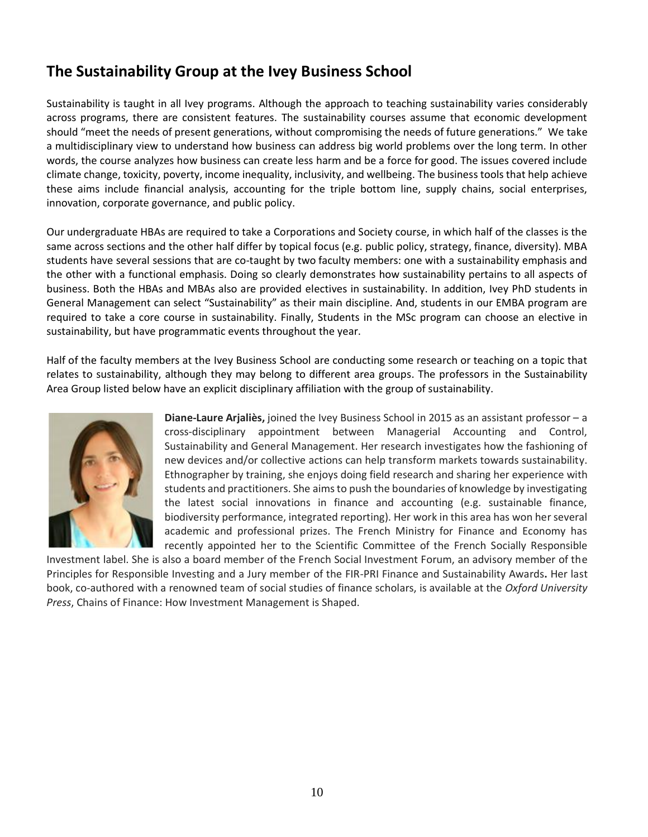# **The Sustainability Group at the Ivey Business School**

Sustainability is taught in all Ivey programs. Although the approach to teaching sustainability varies considerably across programs, there are consistent features. The sustainability courses assume that economic development should "meet the needs of present generations, without compromising the needs of future generations." We take a multidisciplinary view to understand how business can address big world problems over the long term. In other words, the course analyzes how business can create less harm and be a force for good. The issues covered include climate change, toxicity, poverty, income inequality, inclusivity, and wellbeing. The business tools that help achieve these aims include financial analysis, accounting for the triple bottom line, supply chains, social enterprises, innovation, corporate governance, and public policy.

Our undergraduate HBAs are required to take a Corporations and Society course, in which half of the classes is the same across sections and the other half differ by topical focus (e.g. public policy, strategy, finance, diversity). MBA students have several sessions that are co-taught by two faculty members: one with a sustainability emphasis and the other with a functional emphasis. Doing so clearly demonstrates how sustainability pertains to all aspects of business. Both the HBAs and MBAs also are provided electives in sustainability. In addition, Ivey PhD students in General Management can select "Sustainability" as their main discipline. And, students in our EMBA program are required to take a core course in sustainability. Finally, Students in the MSc program can choose an elective in sustainability, but have programmatic events throughout the year.

Half of the faculty members at the Ivey Business School are conducting some research or teaching on a topic that relates to sustainability, although they may belong to different area groups. The professors in the Sustainability Area Group listed below have an explicit disciplinary affiliation with the group of sustainability.



**Diane-Laure Arjaliès,** joined the Ivey Business School in 2015 as an assistant professor – a cross-disciplinary appointment between Managerial Accounting and Control, Sustainability and General Management. Her research investigates how the fashioning of new devices and/or collective actions can help transform markets towards sustainability. Ethnographer by training, she enjoys doing field research and sharing her experience with students and practitioners. She aims to push the boundaries of knowledge by investigating the latest social innovations in finance and accounting (e.g. sustainable finance, biodiversity performance, integrated reporting). Her work in this area has won her several academic and professional prizes. The French Ministry for Finance and Economy has recently appointed her to the Scientific Committee of the French Socially Responsible

Investment label. She is also a board member of the French Social Investment Forum, an advisory member of the Principles for Responsible Investing and a Jury member of the FIR-PRI Finance and Sustainability Awards**.** Her last book, co-authored with a renowned team of social studies of finance scholars, is available at the *Oxford University Press*, Chains of Finance: How Investment Management is Shaped.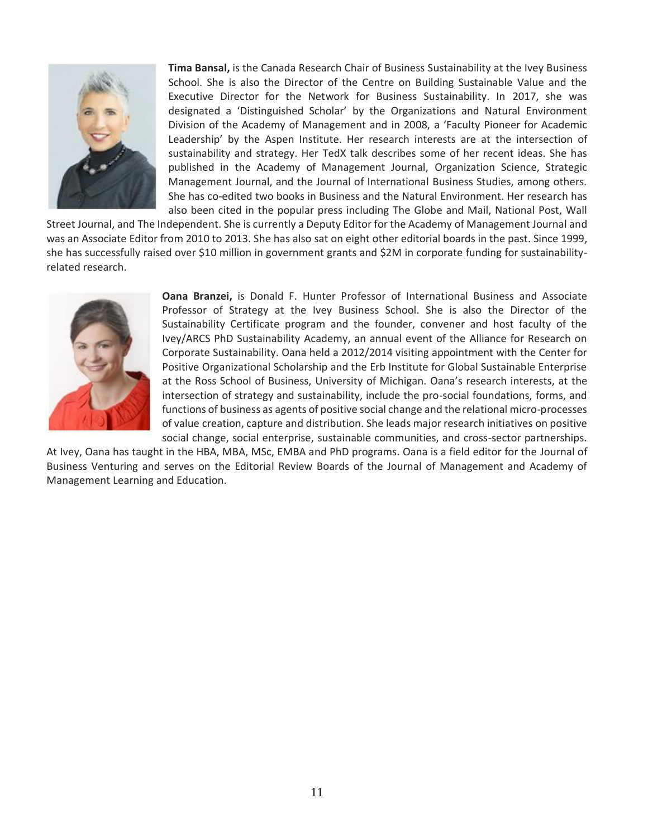

**Tima Bansal,** is the Canada Research Chair of Business Sustainability at the Ivey Business School. She is also the Director of the Centre on Building Sustainable Value and the Executive Director for the Network for Business Sustainability. In 2017, she was designated a 'Distinguished Scholar' by the Organizations and Natural Environment Division of the Academy of Management and in 2008, a 'Faculty Pioneer for Academic Leadership' by the Aspen Institute. Her research interests are at the intersection of sustainability and strategy. Her TedX talk describes some of her recent ideas. She has published in the Academy of Management Journal, Organization Science, Strategic Management Journal, and the Journal of International Business Studies, among others. She has co-edited two books in Business and the Natural Environment. Her research has also been cited in the popular press including The Globe and Mail, National Post, Wall

Street Journal, and The Independent. She is currently a Deputy Editor for the Academy of Management Journal and was an Associate Editor from 2010 to 2013. She has also sat on eight other editorial boards in the past. Since 1999, she has successfully raised over \$10 million in government grants and \$2M in corporate funding for sustainabilityrelated research.



**Oana Branzei,** is Donald F. Hunter Professor of International Business and Associate Professor of Strategy at the Ivey Business School. She is also the Director of the Sustainability Certificate program and the founder, convener and host faculty of the Ivey/ARCS PhD Sustainability Academy, an annual event of the Alliance for Research on Corporate Sustainability. Oana held a 2012/2014 visiting appointment with the Center for Positive Organizational Scholarship and the Erb Institute for Global Sustainable Enterprise at the Ross School of Business, University of Michigan. Oana's research interests, at the intersection of strategy and sustainability, include the pro-social foundations, forms, and functions of business as agents of positive social change and the relational micro-processes of value creation, capture and distribution. She leads major research initiatives on positive social change, social enterprise, sustainable communities, and cross-sector partnerships.

At Ivey, Oana has taught in the HBA, MBA, MSc, EMBA and PhD programs. Oana is a field editor for the Journal of Business Venturing and serves on the Editorial Review Boards of the Journal of Management and Academy of Management Learning and Education.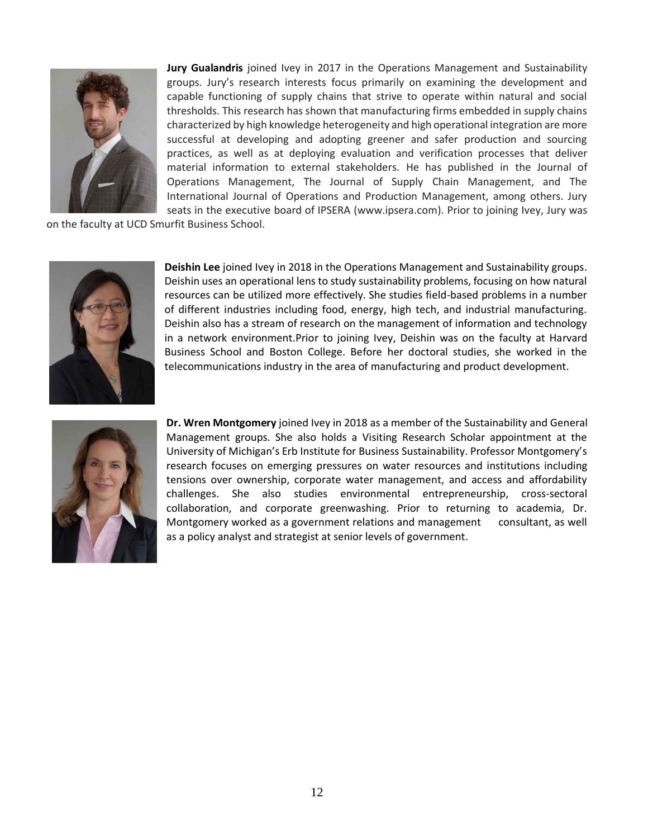

**Jury Gualandris** joined Ivey in 2017 in the Operations Management and Sustainability groups. Jury's research interests focus primarily on examining the development and capable functioning of supply chains that strive to operate within natural and social thresholds. This research has shown that manufacturing firms embedded in supply chains characterized by high knowledge heterogeneity and high operational integration are more successful at developing and adopting greener and safer production and sourcing practices, as well as at deploying evaluation and verification processes that deliver material information to external stakeholders. He has published in the Journal of Operations Management, The Journal of Supply Chain Management, and The International Journal of Operations and Production Management, among others. Jury seats in the executive board of IPSERA [\(www.ipsera.com\).](http://www.ipsera.com)/) Prior to joining Ivey, Jury was

on the faculty at UCD Smurfit Business School.



**Deishin Lee** joined Ivey in 2018 in the Operations Management and Sustainability groups. Deishin uses an operational lens to study sustainability problems, focusing on how natural resources can be utilized more effectively. She studies field-based problems in a number of different industries including food, energy, high tech, and industrial manufacturing. Deishin also has a stream of research on the management of information and technology in a network environment.Prior to joining Ivey, Deishin was on the faculty at Harvard Business School and Boston College. Before her doctoral studies, she worked in the telecommunications industry in the area of manufacturing and product development.



**Dr. Wren Montgomery** joined Ivey in 2018 as a member of the Sustainability and General Management groups. She also holds a Visiting Research Scholar appointment at the University of Michigan's Erb Institute for Business Sustainability. Professor Montgomery's research focuses on emerging pressures on water resources and institutions including tensions over ownership, corporate water management, and access and affordability challenges. She also studies environmental entrepreneurship, cross-sectoral collaboration, and corporate greenwashing. Prior to returning to academia, Dr. Montgomery worked as a government relations and management consultant, as well as a policy analyst and strategist at senior levels of government.